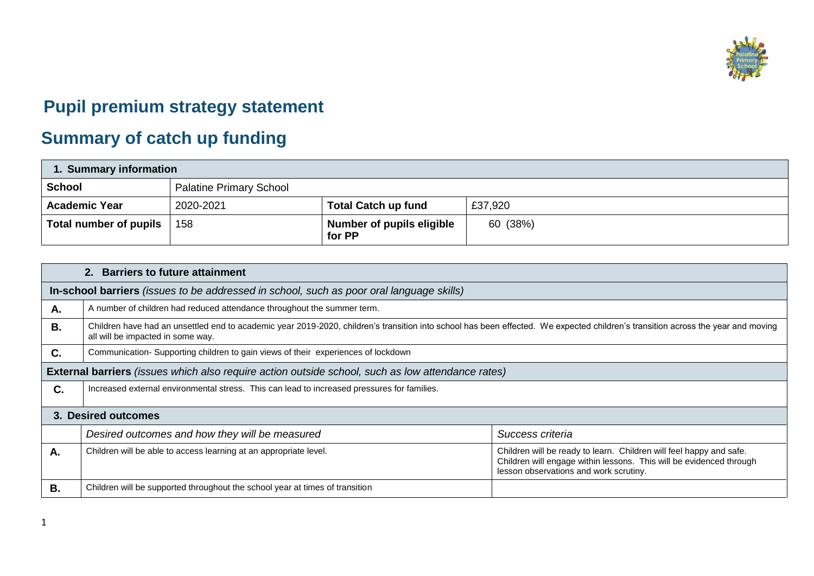

## **Pupil premium strategy statement**

## **Summary of catch up funding**

| 1. Summary information |                                |                                     |          |  |  |
|------------------------|--------------------------------|-------------------------------------|----------|--|--|
| <b>School</b>          | <b>Palatine Primary School</b> |                                     |          |  |  |
| <b>Academic Year</b>   | 2020-2021                      | <b>Total Catch up fund</b>          | £37,920  |  |  |
| Total number of pupils | 158                            | Number of pupils eligible<br>for PP | 60 (38%) |  |  |

| 2. Barriers to future attainment                                                                  |                                                                                                                                                                                                                       |                                                                                                                                                                                      |  |  |  |
|---------------------------------------------------------------------------------------------------|-----------------------------------------------------------------------------------------------------------------------------------------------------------------------------------------------------------------------|--------------------------------------------------------------------------------------------------------------------------------------------------------------------------------------|--|--|--|
| In-school barriers (issues to be addressed in school, such as poor oral language skills)          |                                                                                                                                                                                                                       |                                                                                                                                                                                      |  |  |  |
| Α.                                                                                                | A number of children had reduced attendance throughout the summer term.                                                                                                                                               |                                                                                                                                                                                      |  |  |  |
| <b>B.</b>                                                                                         | Children have had an unsettled end to academic year 2019-2020, children's transition into school has been effected. We expected children's transition across the year and moving<br>all will be impacted in some way. |                                                                                                                                                                                      |  |  |  |
| C.                                                                                                | Communication- Supporting children to gain views of their experiences of lockdown                                                                                                                                     |                                                                                                                                                                                      |  |  |  |
| External barriers (issues which also require action outside school, such as low attendance rates) |                                                                                                                                                                                                                       |                                                                                                                                                                                      |  |  |  |
| C.                                                                                                | Increased external environmental stress. This can lead to increased pressures for families.                                                                                                                           |                                                                                                                                                                                      |  |  |  |
| 3. Desired outcomes                                                                               |                                                                                                                                                                                                                       |                                                                                                                                                                                      |  |  |  |
|                                                                                                   | Desired outcomes and how they will be measured                                                                                                                                                                        | Success criteria                                                                                                                                                                     |  |  |  |
| Α.                                                                                                | Children will be able to access learning at an appropriate level.                                                                                                                                                     | Children will be ready to learn. Children will feel happy and safe.<br>Children will engage within lessons. This will be evidenced through<br>lesson observations and work scrutiny. |  |  |  |
| В.                                                                                                | Children will be supported throughout the school year at times of transition                                                                                                                                          |                                                                                                                                                                                      |  |  |  |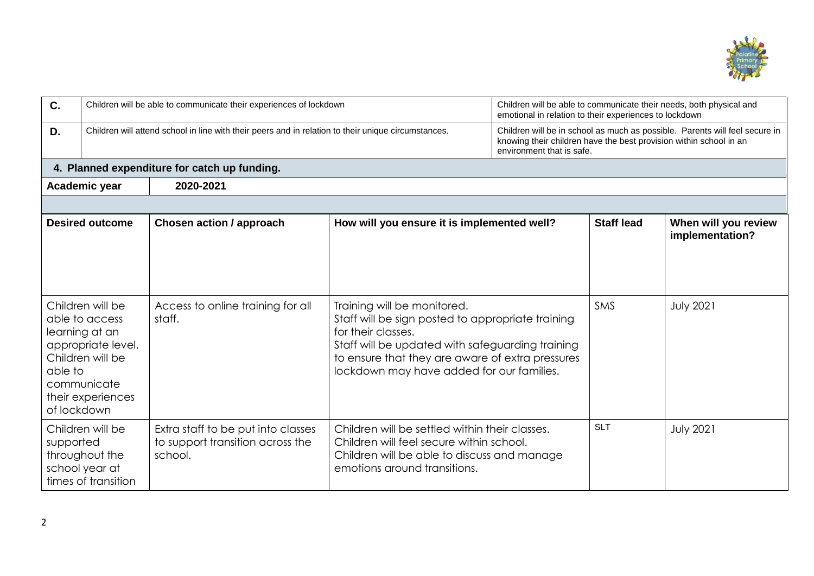

| C.                                           | Children will be able to communicate their experiences of lockdown                                                                 |                                                                                   | Children will be able to communicate their needs, both physical and<br>emotional in relation to their experiences to lockdown                                                                                                                               |                                                                                                                                                                                |                   |                                         |
|----------------------------------------------|------------------------------------------------------------------------------------------------------------------------------------|-----------------------------------------------------------------------------------|-------------------------------------------------------------------------------------------------------------------------------------------------------------------------------------------------------------------------------------------------------------|--------------------------------------------------------------------------------------------------------------------------------------------------------------------------------|-------------------|-----------------------------------------|
| D.                                           | Children will attend school in line with their peers and in relation to their unique circumstances.                                |                                                                                   |                                                                                                                                                                                                                                                             | Children will be in school as much as possible. Parents will feel secure in<br>knowing their children have the best provision within school in an<br>environment that is safe. |                   |                                         |
| 4. Planned expenditure for catch up funding. |                                                                                                                                    |                                                                                   |                                                                                                                                                                                                                                                             |                                                                                                                                                                                |                   |                                         |
|                                              | 2020-2021<br>Academic year                                                                                                         |                                                                                   |                                                                                                                                                                                                                                                             |                                                                                                                                                                                |                   |                                         |
|                                              |                                                                                                                                    |                                                                                   |                                                                                                                                                                                                                                                             |                                                                                                                                                                                |                   |                                         |
|                                              | <b>Desired outcome</b>                                                                                                             | Chosen action / approach                                                          | How will you ensure it is implemented well?                                                                                                                                                                                                                 |                                                                                                                                                                                | <b>Staff lead</b> | When will you review<br>implementation? |
| able to<br>of lockdown                       | Children will be<br>able to access<br>learning at an<br>appropriate level.<br>Children will be<br>communicate<br>their experiences | Access to online training for all<br>staff.                                       | Training will be monitored.<br>Staff will be sign posted to appropriate training<br>for their classes.<br>Staff will be updated with safeguarding training<br>to ensure that they are aware of extra pressures<br>lockdown may have added for our families. |                                                                                                                                                                                | <b>SMS</b>        | <b>July 2021</b>                        |
| supported                                    | Children will be<br>throughout the<br>school year at<br>times of transition                                                        | Extra staff to be put into classes<br>to support transition across the<br>school. | Children will be settled within their classes.<br>Children will feel secure within school.<br>Children will be able to discuss and manage<br>emotions around transitions.                                                                                   |                                                                                                                                                                                | <b>SLT</b>        | <b>July 2021</b>                        |